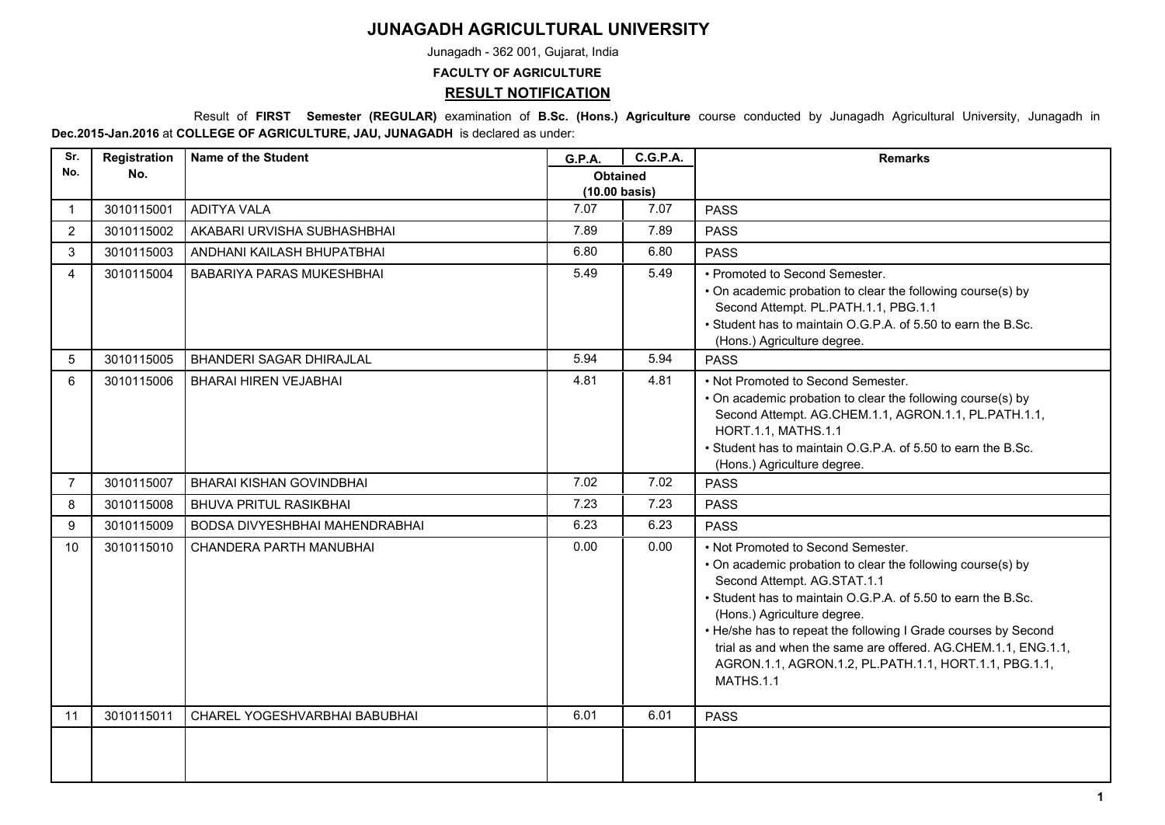## **JUNAGADH AGRICULTURAL UNIVERSITY**

Junagadh - 362 001, Gujarat, India

**FACULTY OF AGRICULTURE**

## **RESULT NOTIFICATION**

 Result of **FIRST Semester (REGULAR)** examination of **B.Sc. (Hons.) Agriculture** course conducted by Junagadh Agricultural University, Junagadh in **Dec.2015-Jan.2016** at **COLLEGE OF AGRICULTURE, JAU, JUNAGADH** is declared as under:

| Sr.            | Registration | <b>Name of the Student</b>       | <b>G.P.A.</b>                              | <b>C.G.P.A.</b> | <b>Remarks</b>                                                                                                                                                                                                                                                                                                                                                                                                                                  |
|----------------|--------------|----------------------------------|--------------------------------------------|-----------------|-------------------------------------------------------------------------------------------------------------------------------------------------------------------------------------------------------------------------------------------------------------------------------------------------------------------------------------------------------------------------------------------------------------------------------------------------|
| No.            | No.          |                                  | <b>Obtained</b><br>$(10.00 \text{ basis})$ |                 |                                                                                                                                                                                                                                                                                                                                                                                                                                                 |
| $\mathbf{1}$   | 3010115001   | <b>ADITYA VALA</b>               | 7.07                                       | 7.07            | <b>PASS</b>                                                                                                                                                                                                                                                                                                                                                                                                                                     |
| $\overline{2}$ | 3010115002   | AKABARI URVISHA SUBHASHBHAI      | 7.89                                       | 7.89            | <b>PASS</b>                                                                                                                                                                                                                                                                                                                                                                                                                                     |
| 3              | 3010115003   | ANDHANI KAILASH BHUPATBHAI       | 6.80                                       | 6.80            | <b>PASS</b>                                                                                                                                                                                                                                                                                                                                                                                                                                     |
| $\overline{4}$ | 3010115004   | <b>BABARIYA PARAS MUKESHBHAI</b> | 5.49                                       | 5.49            | • Promoted to Second Semester.<br>• On academic probation to clear the following course(s) by<br>Second Attempt. PL.PATH.1.1, PBG.1.1<br>• Student has to maintain O.G.P.A. of 5.50 to earn the B.Sc.<br>(Hons.) Agriculture degree.                                                                                                                                                                                                            |
| 5              | 3010115005   | <b>BHANDERI SAGAR DHIRAJLAL</b>  | 5.94                                       | 5.94            | <b>PASS</b>                                                                                                                                                                                                                                                                                                                                                                                                                                     |
| 6              | 3010115006   | <b>BHARAI HIREN VEJABHAI</b>     | 4.81                                       | 4.81            | • Not Promoted to Second Semester.<br>• On academic probation to clear the following course(s) by<br>Second Attempt. AG.CHEM.1.1, AGRON.1.1, PL.PATH.1.1,<br>HORT.1.1, MATHS.1.1<br>. Student has to maintain O.G.P.A. of 5.50 to earn the B.Sc.<br>(Hons.) Agriculture degree.                                                                                                                                                                 |
| $\overline{7}$ | 3010115007   | <b>BHARAI KISHAN GOVINDBHAI</b>  | 7.02                                       | 7.02            | <b>PASS</b>                                                                                                                                                                                                                                                                                                                                                                                                                                     |
| 8              | 3010115008   | <b>BHUVA PRITUL RASIKBHAI</b>    | 7.23                                       | 7.23            | <b>PASS</b>                                                                                                                                                                                                                                                                                                                                                                                                                                     |
| 9              | 3010115009   | BODSA DIVYESHBHAI MAHENDRABHAI   | 6.23                                       | 6.23            | <b>PASS</b>                                                                                                                                                                                                                                                                                                                                                                                                                                     |
| 10             | 3010115010   | CHANDERA PARTH MANUBHAI          | 0.00                                       | 0.00            | • Not Promoted to Second Semester.<br>• On academic probation to clear the following course(s) by<br>Second Attempt. AG.STAT.1.1<br>• Student has to maintain O.G.P.A. of 5.50 to earn the B.Sc.<br>(Hons.) Agriculture degree.<br>• He/she has to repeat the following I Grade courses by Second<br>trial as and when the same are offered. AG.CHEM.1.1, ENG.1.1,<br>AGRON.1.1, AGRON.1.2, PL.PATH.1.1, HORT.1.1, PBG.1.1,<br><b>MATHS.1.1</b> |
| 11             | 3010115011   | CHAREL YOGESHVARBHAI BABUBHAI    | 6.01                                       | 6.01            | <b>PASS</b>                                                                                                                                                                                                                                                                                                                                                                                                                                     |
|                |              |                                  |                                            |                 |                                                                                                                                                                                                                                                                                                                                                                                                                                                 |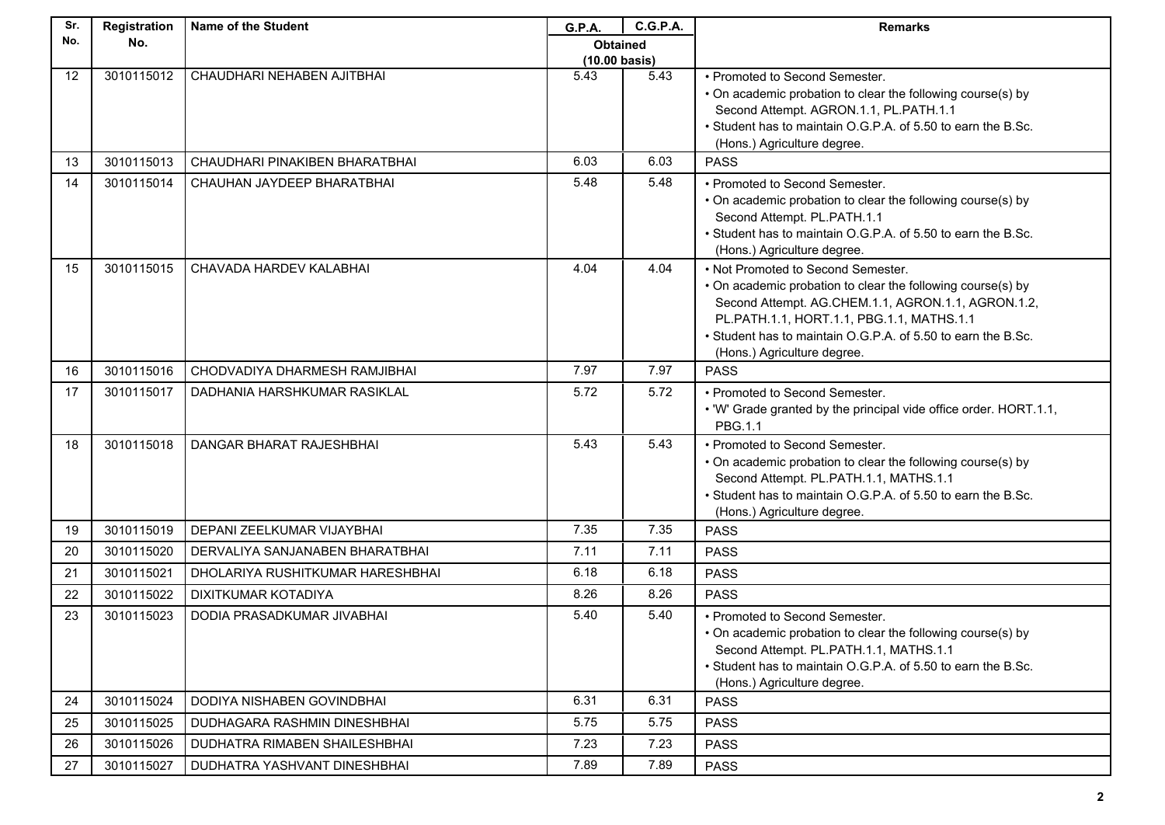| Sr. | Registration | <b>Name of the Student</b>           | G.P.A.                  | <b>C.G.P.A.</b> | <b>Remarks</b>                                                                                                                                                                                                                                                                                      |
|-----|--------------|--------------------------------------|-------------------------|-----------------|-----------------------------------------------------------------------------------------------------------------------------------------------------------------------------------------------------------------------------------------------------------------------------------------------------|
| No. | No.          |                                      | <b>Obtained</b>         |                 |                                                                                                                                                                                                                                                                                                     |
|     |              |                                      | $(10.00 \text{ basis})$ |                 |                                                                                                                                                                                                                                                                                                     |
| 12  | 3010115012   | CHAUDHARI NEHABEN AJITBHAI           | 5.43                    | 5.43            | • Promoted to Second Semester.<br>• On academic probation to clear the following course(s) by<br>Second Attempt. AGRON.1.1, PL.PATH.1.1<br>• Student has to maintain O.G.P.A. of 5.50 to earn the B.Sc.<br>(Hons.) Agriculture degree.                                                              |
| 13  | 3010115013   | CHAUDHARI PINAKIBEN BHARATBHAI       | 6.03                    | 6.03            | <b>PASS</b>                                                                                                                                                                                                                                                                                         |
| 14  | 3010115014   | CHAUHAN JAYDEEP BHARATBHAI           | 5.48                    | 5.48            | • Promoted to Second Semester.<br>• On academic probation to clear the following course(s) by<br>Second Attempt. PL.PATH.1.1<br>• Student has to maintain O.G.P.A. of 5.50 to earn the B.Sc.<br>(Hons.) Agriculture degree.                                                                         |
| 15  | 3010115015   | CHAVADA HARDEV KALABHAI              | 4.04                    | 4.04            | • Not Promoted to Second Semester.<br>• On academic probation to clear the following course(s) by<br>Second Attempt. AG.CHEM.1.1, AGRON.1.1, AGRON.1.2,<br>PL.PATH.1.1, HORT.1.1, PBG.1.1, MATHS.1.1<br>• Student has to maintain O.G.P.A. of 5.50 to earn the B.Sc.<br>(Hons.) Agriculture degree. |
| 16  | 3010115016   | CHODVADIYA DHARMESH RAMJIBHAI        | 7.97                    | 7.97            | <b>PASS</b>                                                                                                                                                                                                                                                                                         |
| 17  | 3010115017   | DADHANIA HARSHKUMAR RASIKLAL         | 5.72                    | 5.72            | • Promoted to Second Semester.<br>. 'W' Grade granted by the principal vide office order. HORT.1.1,<br>PBG.1.1                                                                                                                                                                                      |
| 18  | 3010115018   | DANGAR BHARAT RAJESHBHAI             | 5.43                    | 5.43            | • Promoted to Second Semester.<br>• On academic probation to clear the following course(s) by<br>Second Attempt. PL.PATH.1.1, MATHS.1.1<br>. Student has to maintain O.G.P.A. of 5.50 to earn the B.Sc.<br>(Hons.) Agriculture degree.                                                              |
| 19  | 3010115019   | DEPANI ZEELKUMAR VIJAYBHAI           | 7.35                    | 7.35            | <b>PASS</b>                                                                                                                                                                                                                                                                                         |
| 20  | 3010115020   | DERVALIYA SANJANABEN BHARATBHAI      | 7.11                    | 7.11            | <b>PASS</b>                                                                                                                                                                                                                                                                                         |
| 21  | 3010115021   | DHOLARIYA RUSHITKUMAR HARESHBHAI     | 6.18                    | 6.18            | <b>PASS</b>                                                                                                                                                                                                                                                                                         |
| 22  | 3010115022   | DIXITKUMAR KOTADIYA                  | 8.26                    | 8.26            | <b>PASS</b>                                                                                                                                                                                                                                                                                         |
| 23  | 3010115023   | DODIA PRASADKUMAR JIVABHAI           | 5.40                    | 5.40            | • Promoted to Second Semester.<br>• On academic probation to clear the following course(s) by<br>Second Attempt. PL.PATH.1.1, MATHS.1.1<br>• Student has to maintain O.G.P.A. of 5.50 to earn the B.Sc.<br>(Hons.) Agriculture degree.                                                              |
| 24  | 3010115024   | DODIYA NISHABEN GOVINDBHAI           | 6.31                    | 6.31            | <b>PASS</b>                                                                                                                                                                                                                                                                                         |
| 25  | 3010115025   | DUDHAGARA RASHMIN DINESHBHAI         | 5.75                    | 5.75            | <b>PASS</b>                                                                                                                                                                                                                                                                                         |
| 26  | 3010115026   | <b>DUDHATRA RIMABEN SHAILESHBHAI</b> | 7.23                    | 7.23            | <b>PASS</b>                                                                                                                                                                                                                                                                                         |
| 27  | 3010115027   | DUDHATRA YASHVANT DINESHBHAI         | 7.89                    | 7.89            | <b>PASS</b>                                                                                                                                                                                                                                                                                         |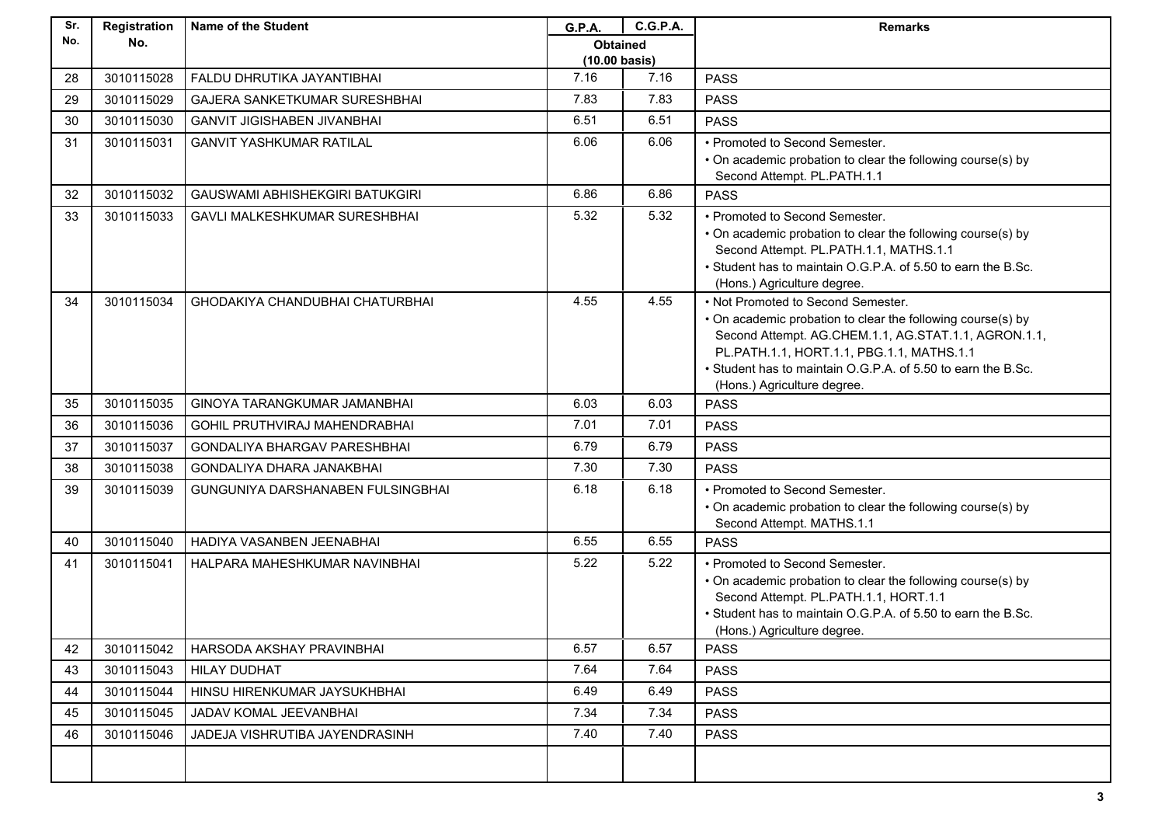| Sr. | Registration | <b>Name of the Student</b>             | G.P.A.                  | <b>C.G.P.A.</b> | <b>Remarks</b>                                                                                    |
|-----|--------------|----------------------------------------|-------------------------|-----------------|---------------------------------------------------------------------------------------------------|
| No. | No.          |                                        | <b>Obtained</b>         |                 |                                                                                                   |
|     |              |                                        | $(10.00 \text{ basis})$ |                 |                                                                                                   |
| 28  | 3010115028   | FALDU DHRUTIKA JAYANTIBHAI             | 7.16                    | 7.16            | <b>PASS</b>                                                                                       |
| 29  | 3010115029   | <b>GAJERA SANKETKUMAR SURESHBHAI</b>   | 7.83                    | 7.83            | <b>PASS</b>                                                                                       |
| 30  | 3010115030   | <b>GANVIT JIGISHABEN JIVANBHAI</b>     | 6.51                    | 6.51            | <b>PASS</b>                                                                                       |
| 31  | 3010115031   | <b>GANVIT YASHKUMAR RATILAL</b>        | 6.06                    | 6.06            | • Promoted to Second Semester.                                                                    |
|     |              |                                        |                         |                 | • On academic probation to clear the following course(s) by<br>Second Attempt. PL.PATH.1.1        |
| 32  | 3010115032   | <b>GAUSWAMI ABHISHEKGIRI BATUKGIRI</b> | 6.86                    | 6.86            | <b>PASS</b>                                                                                       |
| 33  | 3010115033   | GAVLI MALKESHKUMAR SURESHBHAI          | 5.32                    | 5.32            | • Promoted to Second Semester.                                                                    |
|     |              |                                        |                         |                 | • On academic probation to clear the following course(s) by                                       |
|     |              |                                        |                         |                 | Second Attempt. PL.PATH.1.1, MATHS.1.1                                                            |
|     |              |                                        |                         |                 | • Student has to maintain O.G.P.A. of 5.50 to earn the B.Sc.                                      |
|     |              |                                        |                         |                 | (Hons.) Agriculture degree.                                                                       |
| 34  | 3010115034   | <b>GHODAKIYA CHANDUBHAI CHATURBHAI</b> | 4.55                    | 4.55            | • Not Promoted to Second Semester.<br>• On academic probation to clear the following course(s) by |
|     |              |                                        |                         |                 | Second Attempt. AG.CHEM.1.1, AG.STAT.1.1, AGRON.1.1,                                              |
|     |              |                                        |                         |                 | PL.PATH.1.1, HORT.1.1, PBG.1.1, MATHS.1.1                                                         |
|     |              |                                        |                         |                 | • Student has to maintain O.G.P.A. of 5.50 to earn the B.Sc.                                      |
|     |              |                                        |                         |                 | (Hons.) Agriculture degree.                                                                       |
| 35  | 3010115035   | GINOYA TARANGKUMAR JAMANBHAI           | 6.03                    | 6.03            | <b>PASS</b>                                                                                       |
| 36  | 3010115036   | <b>GOHIL PRUTHVIRAJ MAHENDRABHAI</b>   | 7.01                    | 7.01            | <b>PASS</b>                                                                                       |
| 37  | 3010115037   | GONDALIYA BHARGAV PARESHBHAI           | 6.79                    | 6.79            | <b>PASS</b>                                                                                       |
| 38  | 3010115038   | GONDALIYA DHARA JANAKBHAI              | 7.30                    | 7.30            | <b>PASS</b>                                                                                       |
| 39  | 3010115039   | GUNGUNIYA DARSHANABEN FULSINGBHAI      | 6.18                    | 6.18            | • Promoted to Second Semester.                                                                    |
|     |              |                                        |                         |                 | • On academic probation to clear the following course(s) by                                       |
| 40  | 3010115040   | HADIYA VASANBEN JEENABHAI              | 6.55                    | 6.55            | Second Attempt. MATHS.1.1<br><b>PASS</b>                                                          |
| 41  | 3010115041   | HALPARA MAHESHKUMAR NAVINBHAI          | 5.22                    | 5.22            | • Promoted to Second Semester.                                                                    |
|     |              |                                        |                         |                 | • On academic probation to clear the following course(s) by                                       |
|     |              |                                        |                         |                 | Second Attempt. PL.PATH.1.1, HORT.1.1                                                             |
|     |              |                                        |                         |                 | • Student has to maintain O.G.P.A. of 5.50 to earn the B.Sc.                                      |
|     |              |                                        |                         |                 | (Hons.) Agriculture degree.                                                                       |
| 42  | 3010115042   | HARSODA AKSHAY PRAVINBHAI              | 6.57                    | 6.57            | <b>PASS</b>                                                                                       |
| 43  | 3010115043   | <b>HILAY DUDHAT</b>                    | 7.64                    | 7.64            | <b>PASS</b>                                                                                       |
| 44  | 3010115044   | HINSU HIRENKUMAR JAYSUKHBHAI           | 6.49                    | 6.49            | <b>PASS</b>                                                                                       |
| 45  | 3010115045   | JADAV KOMAL JEEVANBHAI                 | 7.34                    | 7.34            | <b>PASS</b>                                                                                       |
| 46  | 3010115046   | JADEJA VISHRUTIBA JAYENDRASINH         | 7.40                    | 7.40            | <b>PASS</b>                                                                                       |
|     |              |                                        |                         |                 |                                                                                                   |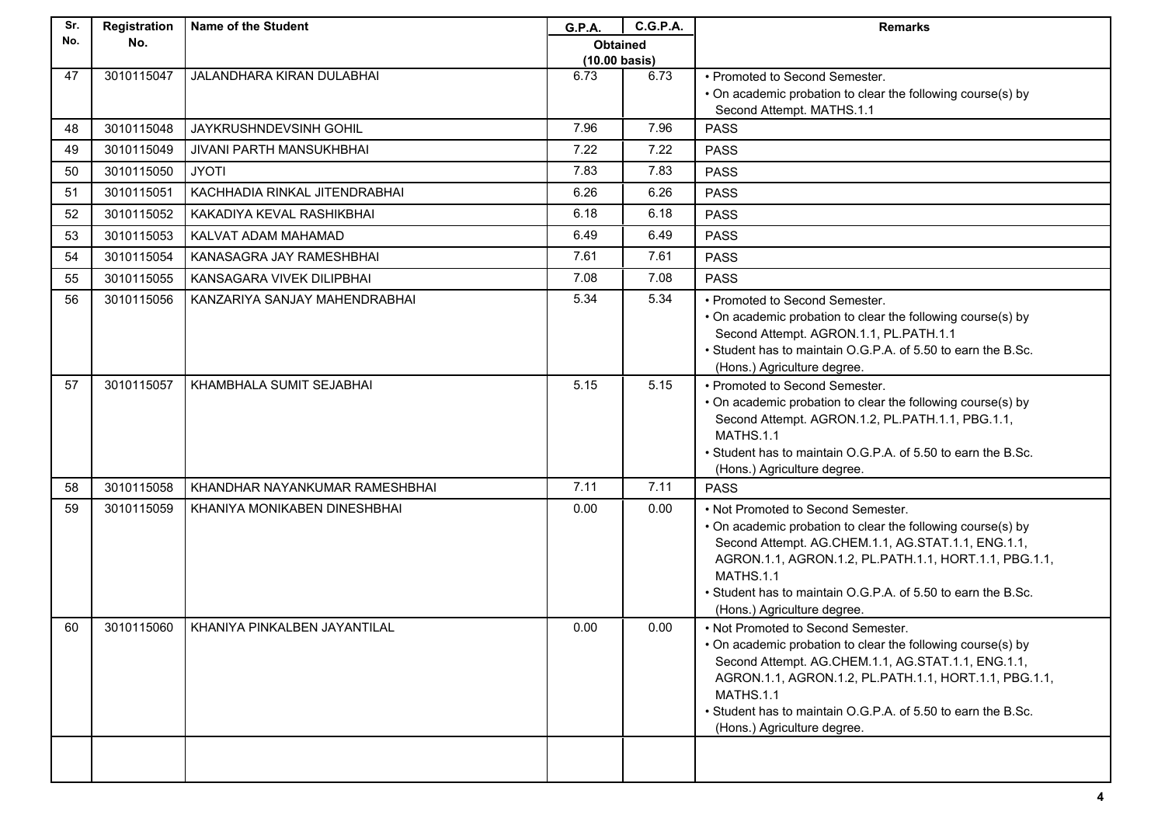| Sr. | Registration | Name of the Student            | G.P.A.                  | <b>C.G.P.A.</b> | <b>Remarks</b>                                                                                                                                                                                                                                                                                                                      |
|-----|--------------|--------------------------------|-------------------------|-----------------|-------------------------------------------------------------------------------------------------------------------------------------------------------------------------------------------------------------------------------------------------------------------------------------------------------------------------------------|
| No. | No.          |                                | <b>Obtained</b>         |                 |                                                                                                                                                                                                                                                                                                                                     |
|     |              |                                | $(10.00 \text{ basis})$ |                 |                                                                                                                                                                                                                                                                                                                                     |
| 47  | 3010115047   | JALANDHARA KIRAN DULABHAI      | 6.73                    | 6.73            | • Promoted to Second Semester.                                                                                                                                                                                                                                                                                                      |
|     |              |                                |                         |                 | • On academic probation to clear the following course(s) by<br>Second Attempt. MATHS.1.1                                                                                                                                                                                                                                            |
| 48  | 3010115048   | JAYKRUSHNDEVSINH GOHIL         | 7.96                    | 7.96            | <b>PASS</b>                                                                                                                                                                                                                                                                                                                         |
| 49  | 3010115049   | JIVANI PARTH MANSUKHBHAI       | 7.22                    | 7.22            | <b>PASS</b>                                                                                                                                                                                                                                                                                                                         |
|     |              |                                |                         |                 |                                                                                                                                                                                                                                                                                                                                     |
| 50  | 3010115050   | <b>JYOTI</b>                   | 7.83                    | 7.83            | <b>PASS</b>                                                                                                                                                                                                                                                                                                                         |
| 51  | 3010115051   | KACHHADIA RINKAL JITENDRABHAI  | 6.26                    | 6.26            | <b>PASS</b>                                                                                                                                                                                                                                                                                                                         |
| 52  | 3010115052   | KAKADIYA KEVAL RASHIKBHAI      | 6.18                    | 6.18            | <b>PASS</b>                                                                                                                                                                                                                                                                                                                         |
| 53  | 3010115053   | KALVAT ADAM MAHAMAD            | 6.49                    | 6.49            | <b>PASS</b>                                                                                                                                                                                                                                                                                                                         |
| 54  | 3010115054   | KANASAGRA JAY RAMESHBHAI       | 7.61                    | 7.61            | <b>PASS</b>                                                                                                                                                                                                                                                                                                                         |
| 55  | 3010115055   | KANSAGARA VIVEK DILIPBHAI      | 7.08                    | 7.08            | <b>PASS</b>                                                                                                                                                                                                                                                                                                                         |
| 56  | 3010115056   | KANZARIYA SANJAY MAHENDRABHAI  | 5.34                    | 5.34            | • Promoted to Second Semester.<br>• On academic probation to clear the following course(s) by<br>Second Attempt. AGRON.1.1, PL.PATH.1.1<br>• Student has to maintain O.G.P.A. of 5.50 to earn the B.Sc.<br>(Hons.) Agriculture degree.                                                                                              |
| 57  | 3010115057   | KHAMBHALA SUMIT SEJABHAI       | 5.15                    | 5.15            | • Promoted to Second Semester.<br>• On academic probation to clear the following course(s) by<br>Second Attempt. AGRON.1.2, PL.PATH.1.1, PBG.1.1,<br>MATHS.1.1<br>. Student has to maintain O.G.P.A. of 5.50 to earn the B.Sc.<br>(Hons.) Agriculture degree.                                                                       |
| 58  | 3010115058   | KHANDHAR NAYANKUMAR RAMESHBHAI | 7.11                    | 7.11            | <b>PASS</b>                                                                                                                                                                                                                                                                                                                         |
| 59  | 3010115059   | KHANIYA MONIKABEN DINESHBHAI   | 0.00                    | 0.00            | • Not Promoted to Second Semester.<br>• On academic probation to clear the following course(s) by<br>Second Attempt. AG.CHEM.1.1, AG.STAT.1.1, ENG.1.1,<br>AGRON.1.1, AGRON.1.2, PL.PATH.1.1, HORT.1.1, PBG.1.1,<br><b>MATHS.1.1</b><br>• Student has to maintain O.G.P.A. of 5.50 to earn the B.Sc.<br>(Hons.) Agriculture degree. |
| 60  | 3010115060   | KHANIYA PINKALBEN JAYANTILAL   | 0.00                    | 0.00            | • Not Promoted to Second Semester.<br>• On academic probation to clear the following course(s) by<br>Second Attempt. AG.CHEM.1.1, AG.STAT.1.1, ENG.1.1,<br>AGRON.1.1, AGRON.1.2, PL.PATH.1.1, HORT.1.1, PBG.1.1,<br>MATHS.1.1<br>• Student has to maintain O.G.P.A. of 5.50 to earn the B.Sc.<br>(Hons.) Agriculture degree.        |
|     |              |                                |                         |                 |                                                                                                                                                                                                                                                                                                                                     |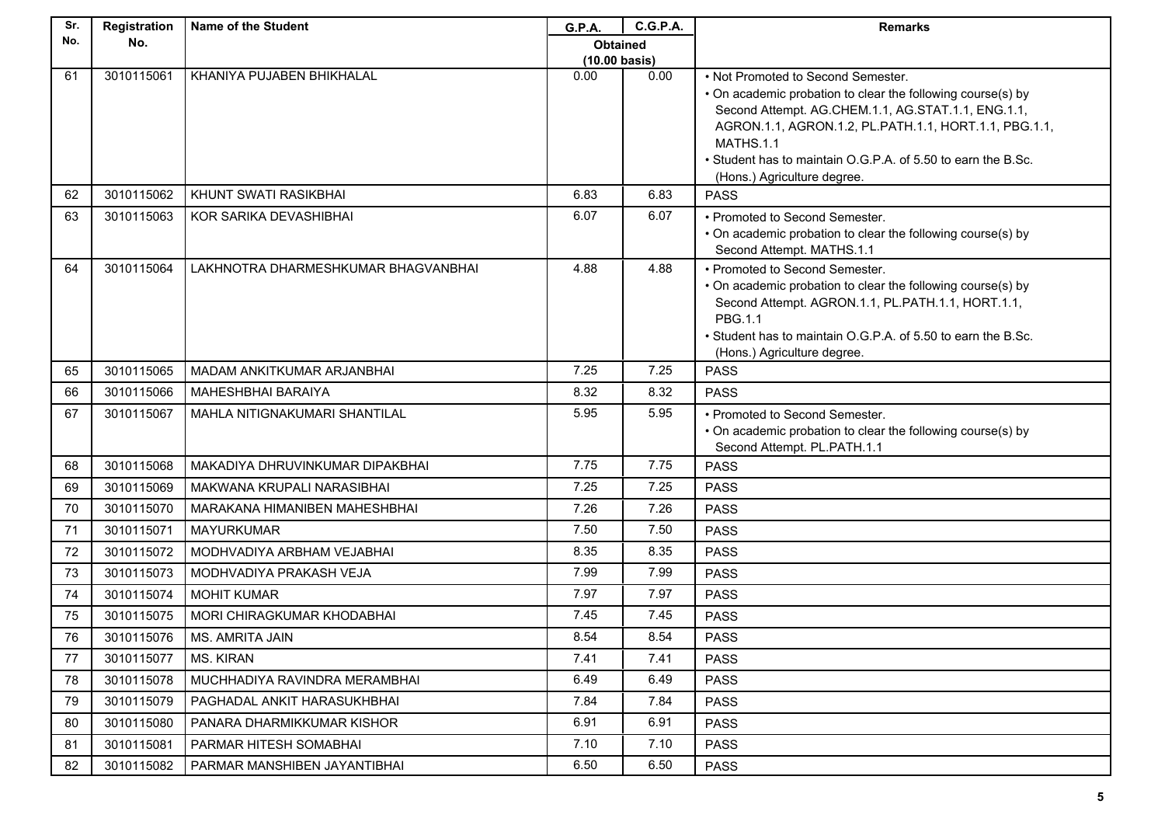| Sr. | Registration | <b>Name of the Student</b>          | G.P.A.                                     | C.G.P.A. | <b>Remarks</b>                                                                                                                                                                                                                                                                                                               |
|-----|--------------|-------------------------------------|--------------------------------------------|----------|------------------------------------------------------------------------------------------------------------------------------------------------------------------------------------------------------------------------------------------------------------------------------------------------------------------------------|
| No. | No.          |                                     | <b>Obtained</b><br>$(10.00 \text{ basis})$ |          |                                                                                                                                                                                                                                                                                                                              |
| 61  | 3010115061   | KHANIYA PUJABEN BHIKHALAL           | 0.00                                       | 0.00     |                                                                                                                                                                                                                                                                                                                              |
|     |              |                                     |                                            |          | • Not Promoted to Second Semester.<br>• On academic probation to clear the following course(s) by<br>Second Attempt. AG.CHEM.1.1, AG.STAT.1.1, ENG.1.1,<br>AGRON.1.1, AGRON.1.2, PL.PATH.1.1, HORT.1.1, PBG.1.1,<br>MATHS.1.1<br>. Student has to maintain O.G.P.A. of 5.50 to earn the B.Sc.<br>(Hons.) Agriculture degree. |
| 62  | 3010115062   | KHUNT SWATI RASIKBHAI               | 6.83                                       | 6.83     | <b>PASS</b>                                                                                                                                                                                                                                                                                                                  |
| 63  | 3010115063   | KOR SARIKA DEVASHIBHAI              | 6.07                                       | 6.07     | • Promoted to Second Semester.<br>• On academic probation to clear the following course(s) by<br>Second Attempt. MATHS.1.1                                                                                                                                                                                                   |
| 64  | 3010115064   | LAKHNOTRA DHARMESHKUMAR BHAGVANBHAI | 4.88                                       | 4.88     | • Promoted to Second Semester.<br>• On academic probation to clear the following course(s) by<br>Second Attempt. AGRON.1.1, PL.PATH.1.1, HORT.1.1,<br>PBG.1.1<br>. Student has to maintain O.G.P.A. of 5.50 to earn the B.Sc.<br>(Hons.) Agriculture degree.                                                                 |
| 65  | 3010115065   | MADAM ANKITKUMAR ARJANBHAI          | 7.25                                       | 7.25     | <b>PASS</b>                                                                                                                                                                                                                                                                                                                  |
| 66  | 3010115066   | <b>MAHESHBHAI BARAIYA</b>           | 8.32                                       | 8.32     | <b>PASS</b>                                                                                                                                                                                                                                                                                                                  |
| 67  | 3010115067   | MAHLA NITIGNAKUMARI SHANTILAL       | 5.95                                       | 5.95     | • Promoted to Second Semester.<br>• On academic probation to clear the following course(s) by<br>Second Attempt. PL.PATH.1.1                                                                                                                                                                                                 |
| 68  | 3010115068   | MAKADIYA DHRUVINKUMAR DIPAKBHAI     | 7.75                                       | 7.75     | <b>PASS</b>                                                                                                                                                                                                                                                                                                                  |
| 69  | 3010115069   | MAKWANA KRUPALI NARASIBHAI          | 7.25                                       | 7.25     | <b>PASS</b>                                                                                                                                                                                                                                                                                                                  |
| 70  | 3010115070   | MARAKANA HIMANIBEN MAHESHBHAI       | 7.26                                       | 7.26     | <b>PASS</b>                                                                                                                                                                                                                                                                                                                  |
| 71  | 3010115071   | <b>MAYURKUMAR</b>                   | 7.50                                       | 7.50     | <b>PASS</b>                                                                                                                                                                                                                                                                                                                  |
| 72  | 3010115072   | MODHVADIYA ARBHAM VEJABHAI          | 8.35                                       | 8.35     | <b>PASS</b>                                                                                                                                                                                                                                                                                                                  |
| 73  | 3010115073   | MODHVADIYA PRAKASH VEJA             | 7.99                                       | 7.99     | <b>PASS</b>                                                                                                                                                                                                                                                                                                                  |
| 74  | 3010115074   | <b>MOHIT KUMAR</b>                  | 7.97                                       | 7.97     | <b>PASS</b>                                                                                                                                                                                                                                                                                                                  |
| 75  | 3010115075   | MORI CHIRAGKUMAR KHODABHAI          | 7.45                                       | 7.45     | <b>PASS</b>                                                                                                                                                                                                                                                                                                                  |
| 76  | 3010115076   | MS. AMRITA JAIN                     | 8.54                                       | 8.54     | <b>PASS</b>                                                                                                                                                                                                                                                                                                                  |
| 77  | 3010115077   | <b>MS. KIRAN</b>                    | 7.41                                       | 7.41     | <b>PASS</b>                                                                                                                                                                                                                                                                                                                  |
| 78  | 3010115078   | MUCHHADIYA RAVINDRA MERAMBHAI       | 6.49                                       | 6.49     | <b>PASS</b>                                                                                                                                                                                                                                                                                                                  |
| 79  | 3010115079   | PAGHADAL ANKIT HARASUKHBHAI         | 7.84                                       | 7.84     | <b>PASS</b>                                                                                                                                                                                                                                                                                                                  |
| 80  | 3010115080   | PANARA DHARMIKKUMAR KISHOR          | 6.91                                       | 6.91     | <b>PASS</b>                                                                                                                                                                                                                                                                                                                  |
| 81  | 3010115081   | PARMAR HITESH SOMABHAI              | 7.10                                       | 7.10     | <b>PASS</b>                                                                                                                                                                                                                                                                                                                  |
| 82  | 3010115082   | PARMAR MANSHIBEN JAYANTIBHAI        | 6.50                                       | 6.50     | <b>PASS</b>                                                                                                                                                                                                                                                                                                                  |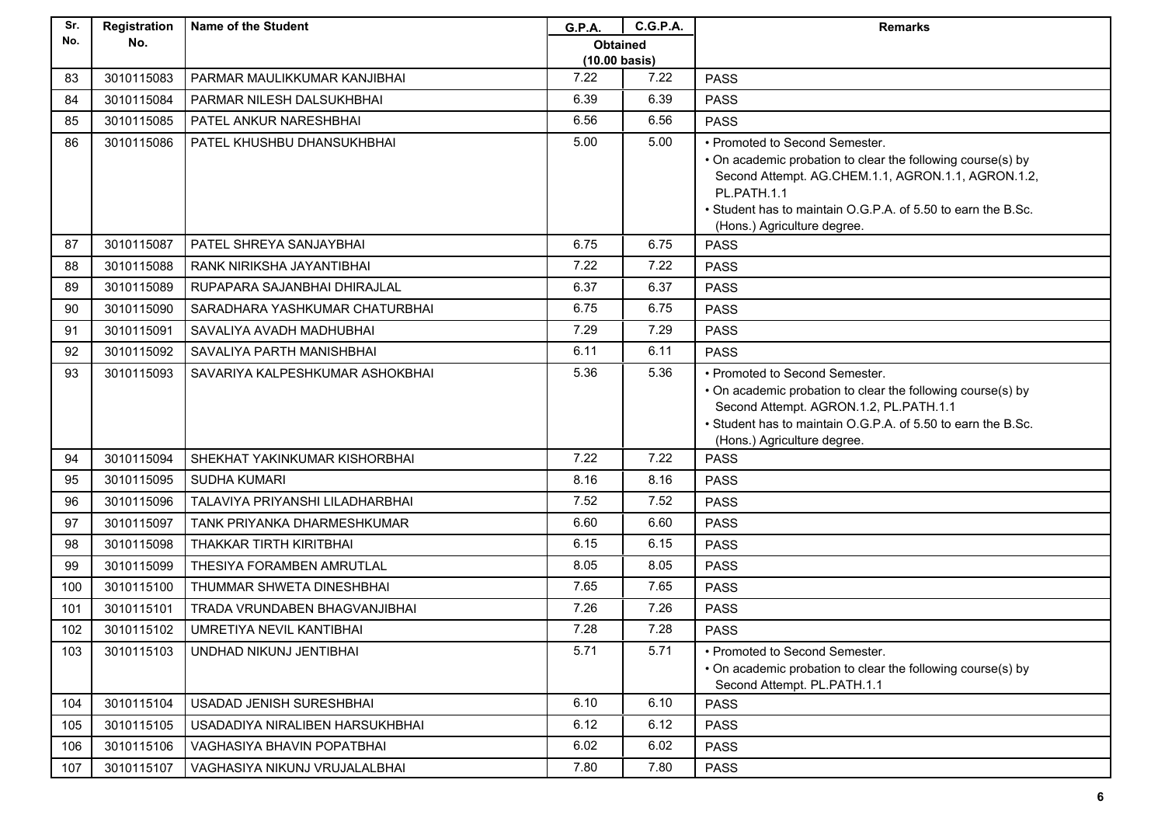| Sr. | Registration | <b>Name of the Student</b>      | G.P.A.                  | <b>C.G.P.A.</b> | <b>Remarks</b>                                                                                                                                                                                                                                                    |
|-----|--------------|---------------------------------|-------------------------|-----------------|-------------------------------------------------------------------------------------------------------------------------------------------------------------------------------------------------------------------------------------------------------------------|
| No. | No.          |                                 | <b>Obtained</b>         |                 |                                                                                                                                                                                                                                                                   |
|     |              |                                 | $(10.00 \text{ basis})$ |                 |                                                                                                                                                                                                                                                                   |
| 83  | 3010115083   | PARMAR MAULIKKUMAR KANJIBHAI    | 7.22                    | 7.22            | <b>PASS</b>                                                                                                                                                                                                                                                       |
| 84  | 3010115084   | PARMAR NILESH DALSUKHBHAI       | 6.39                    | 6.39            | <b>PASS</b>                                                                                                                                                                                                                                                       |
| 85  | 3010115085   | PATEL ANKUR NARESHBHAI          | 6.56                    | 6.56            | <b>PASS</b>                                                                                                                                                                                                                                                       |
| 86  | 3010115086   | PATEL KHUSHBU DHANSUKHBHAI      | 5.00                    | 5.00            | • Promoted to Second Semester.<br>• On academic probation to clear the following course(s) by<br>Second Attempt. AG.CHEM.1.1, AGRON.1.1, AGRON.1.2,<br>PL.PATH.1.1<br>. Student has to maintain O.G.P.A. of 5.50 to earn the B.Sc.<br>(Hons.) Agriculture degree. |
| 87  | 3010115087   | PATEL SHREYA SANJAYBHAI         | 6.75                    | 6.75            | <b>PASS</b>                                                                                                                                                                                                                                                       |
| 88  | 3010115088   | RANK NIRIKSHA JAYANTIBHAI       | 7.22                    | 7.22            | <b>PASS</b>                                                                                                                                                                                                                                                       |
| 89  | 3010115089   | RUPAPARA SAJANBHAI DHIRAJLAL    | 6.37                    | 6.37            | <b>PASS</b>                                                                                                                                                                                                                                                       |
| 90  | 3010115090   | SARADHARA YASHKUMAR CHATURBHAI  | 6.75                    | 6.75            | <b>PASS</b>                                                                                                                                                                                                                                                       |
| 91  | 3010115091   | SAVALIYA AVADH MADHUBHAI        | 7.29                    | 7.29            | <b>PASS</b>                                                                                                                                                                                                                                                       |
| 92  | 3010115092   | SAVALIYA PARTH MANISHBHAI       | 6.11                    | 6.11            | <b>PASS</b>                                                                                                                                                                                                                                                       |
| 93  | 3010115093   | SAVARIYA KALPESHKUMAR ASHOKBHAI | 5.36                    | 5.36            | • Promoted to Second Semester.<br>• On academic probation to clear the following course(s) by<br>Second Attempt. AGRON.1.2, PL.PATH.1.1<br>• Student has to maintain O.G.P.A. of 5.50 to earn the B.Sc.<br>(Hons.) Agriculture degree.                            |
| 94  | 3010115094   | SHEKHAT YAKINKUMAR KISHORBHAI   | 7.22                    | 7.22            | <b>PASS</b>                                                                                                                                                                                                                                                       |
| 95  | 3010115095   | <b>SUDHA KUMARI</b>             | 8.16                    | 8.16            | <b>PASS</b>                                                                                                                                                                                                                                                       |
| 96  | 3010115096   | TALAVIYA PRIYANSHI LILADHARBHAI | 7.52                    | 7.52            | <b>PASS</b>                                                                                                                                                                                                                                                       |
| 97  | 3010115097   | TANK PRIYANKA DHARMESHKUMAR     | 6.60                    | 6.60            | <b>PASS</b>                                                                                                                                                                                                                                                       |
| 98  | 3010115098   | THAKKAR TIRTH KIRITBHAI         | 6.15                    | 6.15            | <b>PASS</b>                                                                                                                                                                                                                                                       |
| 99  | 3010115099   | THESIYA FORAMBEN AMRUTLAL       | 8.05                    | 8.05            | <b>PASS</b>                                                                                                                                                                                                                                                       |
| 100 | 3010115100   | THUMMAR SHWETA DINESHBHAI       | 7.65                    | 7.65            | <b>PASS</b>                                                                                                                                                                                                                                                       |
| 101 | 3010115101   | TRADA VRUNDABEN BHAGVANJIBHAI   | 7.26                    | 7.26            | <b>PASS</b>                                                                                                                                                                                                                                                       |
| 102 | 3010115102   | UMRETIYA NEVIL KANTIBHAI        | 7.28                    | 7.28            | <b>PASS</b>                                                                                                                                                                                                                                                       |
| 103 | 3010115103   | UNDHAD NIKUNJ JENTIBHAI         | 5.71                    | 5.71            | • Promoted to Second Semester.<br>• On academic probation to clear the following course(s) by<br>Second Attempt. PL.PATH.1.1                                                                                                                                      |
| 104 | 3010115104   | USADAD JENISH SURESHBHAI        | 6.10                    | 6.10            | <b>PASS</b>                                                                                                                                                                                                                                                       |
| 105 | 3010115105   | USADADIYA NIRALIBEN HARSUKHBHAI | 6.12                    | 6.12            | <b>PASS</b>                                                                                                                                                                                                                                                       |
| 106 | 3010115106   | VAGHASIYA BHAVIN POPATBHAI      | 6.02                    | 6.02            | <b>PASS</b>                                                                                                                                                                                                                                                       |
| 107 | 3010115107   | VAGHASIYA NIKUNJ VRUJALALBHAI   | 7.80                    | 7.80            | <b>PASS</b>                                                                                                                                                                                                                                                       |